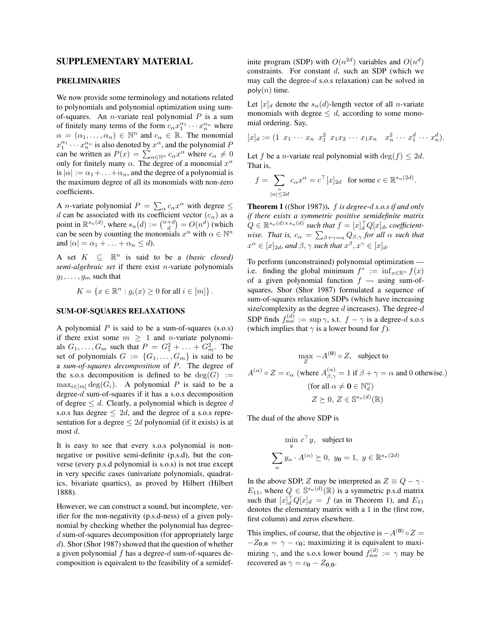## SUPPLEMENTARY MATERIAL

## PRELIMINARIES

We now provide some terminology and notations related to polynomials and polynomial optimization using sumof-squares. An *n*-variate real polynomial  $P$  is a sum of finitely many terms of the form  $c_{\alpha}x_1^{\alpha_1}\cdots x_n^{\alpha_n}$  where  $\alpha = (\alpha_1, \ldots, \alpha_n) \in \mathbb{N}^n$  and  $c_{\alpha} \in \mathbb{R}$ . The monomial  $x_1^{\alpha_1} \cdots x_n^{\alpha_n}$  is also denoted by  $x^{\alpha}$ , and the polynomial P can be written as  $P(x) = \sum_{\alpha \in \mathbb{N}^n} c_{\alpha} x^{\alpha}$  where  $c_{\alpha} \neq 0$ only for finitely many  $\alpha$ . The degree of a monomial  $x^{\alpha}$ is  $|\alpha| := \alpha_1 + \ldots + \alpha_n$ , and the degree of a polynomial is the maximum degree of all its monomials with non-zero coefficients.

A *n*-variate polynomial  $P = \sum_{\alpha} c_{\alpha} x^{\alpha}$  with degree  $\leq$ d can be associated with its coefficient vector  $(c_{\alpha})$  as a point in  $\mathbb{R}^{s_n(d)}$ , where  $s_n(d) := \binom{n+d}{d} = O(n^d)$  (which can be seen by counting the monomials  $x^{\alpha}$  with  $\alpha \in \mathbb{N}^n$ and  $|\alpha| = \alpha_1 + \ldots + \alpha_n \leq d$ ).

A set  $K \subseteq \mathbb{R}^n$  is said to be a *(basic closed) semi-algebraic set* if there exist n-variate polynomials  $g_1, \ldots, g_m$  such that

$$
K = \{ x \in \mathbb{R}^n : g_i(x) \ge 0 \text{ for all } i \in [m] \}.
$$

## SUM-OF-SQUARES RELAXATIONS

A polynomial  $P$  is said to be a sum-of-squares (s.o.s) if there exist some  $m \geq 1$  and *n*-variate polynomials  $G_1, \ldots, G_m$  such that  $P = G_1^2 + \ldots + G_m^2$ . The set of polynomials  $G := \{G_1, \ldots, G_m\}$  is said to be a *sum-of-squares decomposition* of P. The degree of the s.o.s decomposition is defined to be  $deg(G) :=$  $\max_{i \in [m]} \deg(G_i)$ . A polynomial P is said to be a degree- $d$  sum-of-squares if it has a s.o.s decomposition of degree  $\leq d$ . Clearly, a polynomial which is degree d s.o.s has degree  $\leq 2d$ , and the degree of a s.o.s representation for a degree  $\leq 2d$  polynomial (if it exists) is at most d.

It is easy to see that every s.o.s polynomial is nonnegative or positive semi-definite (p.s.d), but the converse (every p.s.d polynomial is s.o.s) is not true except in very specific cases (univariate polynomials, quadratics, bivariate quartics), as proved by Hilbert (Hilbert 1888).

However, we can construct a sound, but incomplete, verifier for the non-negativity (p.s.d-ness) of a given polynomial by checking whether the polynomial has degreed sum-of-squares decomposition (for appropriately large d). Shor (Shor 1987) showed that the question of whether a given polynomial  $f$  has a degree- $d$  sum-of-squares decomposition is equivalent to the feasibility of a semidef-

inite program (SDP) with  $O(n^{2d})$  variables and  $O(n^d)$ constraints. For constant  $d$ , such an SDP (which we may call the degree-d s.o.s relaxation) can be solved in poly $(n)$  time.

Let  $[x]_d$  denote the  $s_n(d)$ -length vector of all *n*-variate monomials with degree  $\leq d$ , according to some monomial ordering. Say,

$$
[x]_d := (1 \ x_1 \ \cdots \ x_n \ x_1^2 \ x_1 x_2 \ \cdots \ x_1 x_n \ x_n^2 \ \cdots \ x_1^d \ \cdots \ x_n^d).
$$

Let f be a *n*-variate real polynomial with  $\deg(f) \leq 2d$ . That is,

$$
f = \sum_{\substack{\alpha \\ |\alpha| \le 2d}} c_{\alpha} x^{\alpha} = c^{\top} [x]_{2d} \text{ for some } c \in \mathbb{R}^{s_n(2d)}.
$$

Theorem 1 ((Shor 1987)). f *is degree-*d *s.o.s if and only if there exists a symmetric positive semidefinite matrix*  $Q \in \mathbb{R}^{s_n(d) \times s_n(d)}$  such that  $f = [x]_d^\top Q[x]_d$ , coefficientwise. That is,  $c_{\alpha} = \sum_{\beta+\gamma=\alpha} Q_{\beta,\gamma}$  for all  $\alpha$  such that  $x^{\alpha} \in [x]_{2d}$ , and  $\beta, \gamma$  such that  $x^{\beta}, x^{\gamma} \in [x]_d$ .

To perform (unconstrained) polynomial optimization i.e. finding the global minimum  $f^* := \inf_{x \in \mathbb{R}^n} f(x)$ of a given polynomial function  $f$  — using sum-ofsquares, Shor (Shor 1987) formulated a sequence of sum-of-squares relaxation SDPs (which have increasing size/complexity as the degree  $d$  increases). The degree- $d$ SDP finds  $f_{\text{sos}}^{(d)} := \sup \gamma$ , s.t.  $f - \gamma$  is a degree-d s.o.s (which implies that  $\gamma$  is a lower bound for f).

$$
\max_{Z} -A^{(0)} \circ Z, \text{ subject to}
$$
  

$$
A^{(\alpha)} \circ Z = c_{\alpha} \text{ (where } A^{(\alpha)}_{\beta,\gamma} = 1 \text{ if } \beta + \gamma = \alpha \text{ and } 0 \text{ otherwise.)}
$$
  
(for all  $\alpha \neq \mathbf{0} \in \mathbb{N}_d^n$ )  

$$
Z \succeq 0, Z \in \mathbb{S}^{s_n(d)}(\mathbb{R})
$$

The dual of the above SDP is

$$
\begin{aligned} & \min_{y}\, c^\top y, \ \ \text{subject to}\\ & \sum_{\alpha} y_\alpha \cdot A^{(\alpha)} \succeq 0, \ y_{\mathbf{0}}=1, \ y \in \mathbb{R}^{s_n(2d)} \end{aligned}
$$

In the above SDP, Z may be interpreted as  $Z \equiv Q - \gamma$ .  $E_{11}$ , where  $Q \in \mathbb{S}^{s_n(d)}(\mathbb{R})$  is a symmetric p.s.d matrix such that  $[x]_d^{\top} Q[x]_d = f$  (as in Theorem 1), and  $E_{11}$ denotes the elementary matrix with a 1 in the (first row, first column) and zeros elsewhere.

This implies, of course, that the objective is  $-A^{(0)} \circ Z =$  $-Z_{0,0} = \gamma - c_0$ ; maximizing it is equivalent to maximizing  $\gamma$ , and the s.o.s lower bound  $f_{\rm sos}^{(d)} := \gamma$  may be recovered as  $\gamma = c_0 - Z_{0.0}$ .